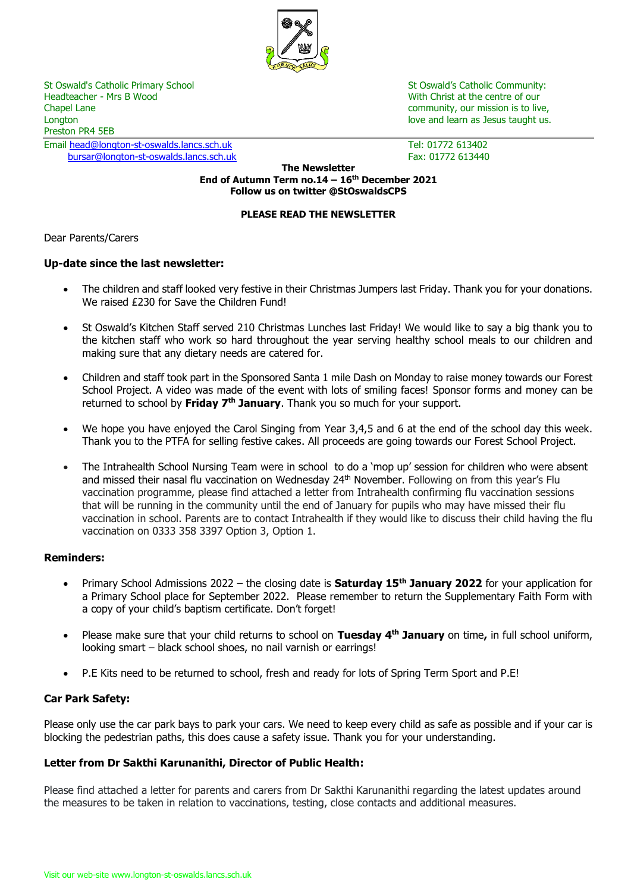

Headteacher - Mrs B Wood North Christ at the centre of our Nutle Christ at the centre of our Chapel Lane community, our mission is to live, Longton love and learn as Jesus taught us. Preston PR4 5EB

Email [head@longton-st-oswalds.lancs.sch.uk](mailto:head@longton-st-oswalds.lancs.sch.uk) Tel: 01772 613402 [bursar@longton-st-oswalds.lancs.sch.uk](mailto:bursar@longton-st-oswalds.lancs.sch.uk) Fax: 01772 613440

St Oswald's Catholic Primary School St Oswald's Catholic Community:

#### **The Newsletter End of Autumn Term no.14 – 16th December 2021 Follow us on twitter @StOswaldsCPS**

# **PLEASE READ THE NEWSLETTER**

Dear Parents/Carers

# **Up-date since the last newsletter:**

- The children and staff looked very festive in their Christmas Jumpers last Friday. Thank you for your donations. We raised £230 for Save the Children Fund!
- St Oswald's Kitchen Staff served 210 Christmas Lunches last Friday! We would like to say a big thank you to the kitchen staff who work so hard throughout the year serving healthy school meals to our children and making sure that any dietary needs are catered for.
- Children and staff took part in the Sponsored Santa 1 mile Dash on Monday to raise money towards our Forest School Project. A video was made of the event with lots of smiling faces! Sponsor forms and money can be returned to school by **Friday 7th January**. Thank you so much for your support.
- We hope you have enjoyed the Carol Singing from Year 3,4,5 and 6 at the end of the school day this week. Thank you to the PTFA for selling festive cakes. All proceeds are going towards our Forest School Project.
- The Intrahealth School Nursing Team were in school to do a 'mop up' session for children who were absent and missed their nasal flu vaccination on Wednesday 24<sup>th</sup> November. Following on from this year's Flu vaccination programme, please find attached a letter from Intrahealth confirming flu vaccination sessions that will be running in the community until the end of January for pupils who may have missed their flu vaccination in school. Parents are to contact Intrahealth if they would like to discuss their child having the flu vaccination on 0333 358 3397 Option 3, Option 1.

# **Reminders:**

- Primary School Admissions 2022 the closing date is **Saturday 15th January 2022** for your application for a Primary School place for September 2022. Please remember to return the Supplementary Faith Form with a copy of your child's baptism certificate. Don't forget!
- Please make sure that your child returns to school on **Tuesday 4th January** on time**,** in full school uniform, looking smart – black school shoes, no nail varnish or earrings!
- P.E Kits need to be returned to school, fresh and ready for lots of Spring Term Sport and P.E!

# **Car Park Safety:**

Please only use the car park bays to park your cars. We need to keep every child as safe as possible and if your car is blocking the pedestrian paths, this does cause a safety issue. Thank you for your understanding.

# **Letter from Dr Sakthi Karunanithi, Director of Public Health:**

Please find attached a letter for parents and carers from Dr Sakthi Karunanithi regarding the latest updates around the measures to be taken in relation to vaccinations, testing, close contacts and additional measures.